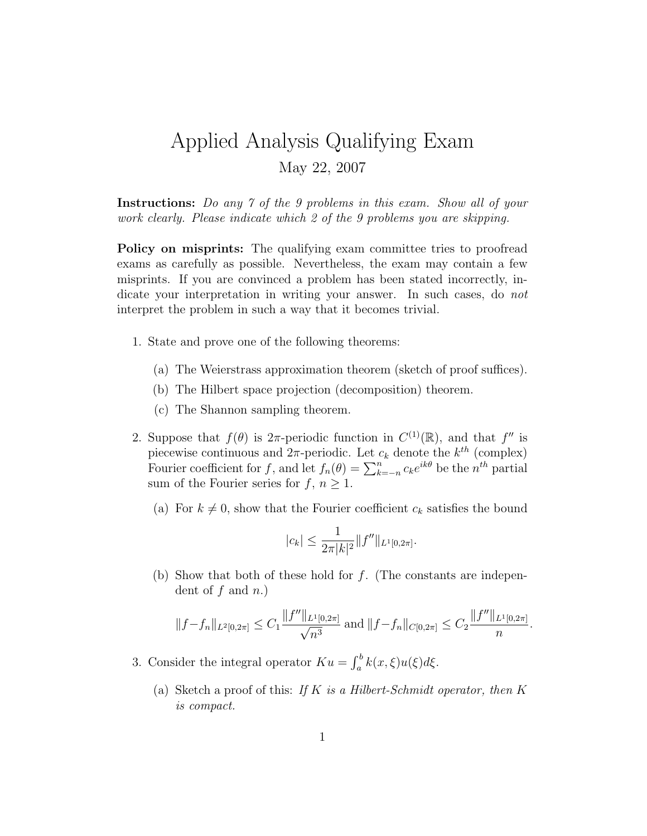## Applied Analysis Qualifying Exam May 22, 2007

Instructions: Do any 7 of the 9 problems in this exam. Show all of your work clearly. Please indicate which 2 of the 9 problems you are skipping.

Policy on misprints: The qualifying exam committee tries to proofread exams as carefully as possible. Nevertheless, the exam may contain a few misprints. If you are convinced a problem has been stated incorrectly, indicate your interpretation in writing your answer. In such cases, do not interpret the problem in such a way that it becomes trivial.

- 1. State and prove one of the following theorems:
	- (a) The Weierstrass approximation theorem (sketch of proof suffices).
	- (b) The Hilbert space projection (decomposition) theorem.
	- (c) The Shannon sampling theorem.
- 2. Suppose that  $f(\theta)$  is  $2\pi$ -periodic function in  $C^{(1)}(\mathbb{R})$ , and that  $f''$  is piecewise continuous and  $2\pi$ -periodic. Let  $c_k$  denote the  $k^{th}$  (complex) Fourier coefficient for f, and let  $f_n(\theta) = \sum_{k=-n}^n c_k e^{ik\theta}$  be the  $n^{th}$  partial sum of the Fourier series for  $f, n \geq 1$ .
	- (a) For  $k \neq 0$ , show that the Fourier coefficient  $c_k$  satisfies the bound

$$
|c_k| \le \frac{1}{2\pi |k|^2} \|f''\|_{L^1[0,2\pi]}.
$$

(b) Show that both of these hold for  $f$ . (The constants are independent of  $f$  and  $n$ .)

$$
||f - f_n||_{L^2[0,2\pi]} \leq C_1 \frac{||f''||_{L^1[0,2\pi]}}{\sqrt{n^3}} \text{ and } ||f - f_n||_{C[0,2\pi]} \leq C_2 \frac{||f''||_{L^1[0,2\pi]}}{n}.
$$

3. Consider the integral operator  $K u = \int_a^b k(x, \xi) u(\xi) d\xi$ .

(a) Sketch a proof of this: If K is a Hilbert-Schmidt operator, then  $K$ is compact.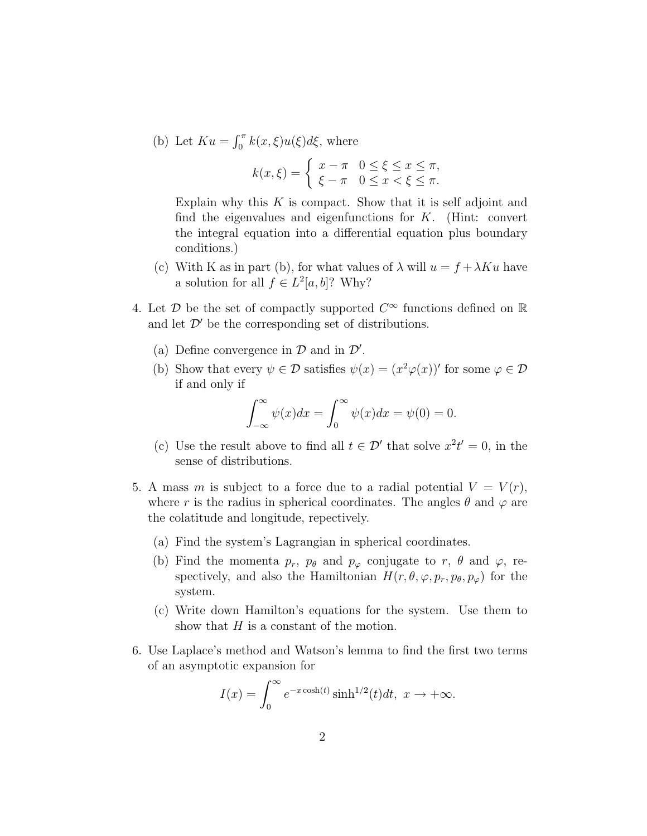(b) Let  $Ku = \int_0^{\pi} k(x,\xi)u(\xi)d\xi$ , where

$$
k(x,\xi) = \begin{cases} x - \pi & 0 \le \xi \le x \le \pi, \\ \xi - \pi & 0 \le x < \xi \le \pi. \end{cases}
$$

Explain why this  $K$  is compact. Show that it is self adjoint and find the eigenvalues and eigenfunctions for  $K$ . (Hint: convert the integral equation into a differential equation plus boundary conditions.)

- (c) With K as in part (b), for what values of  $\lambda$  will  $u = f + \lambda K u$  have a solution for all  $f \in L^2[a, b]$ ? Why?
- 4. Let  $\mathcal D$  be the set of compactly supported  $C^{\infty}$  functions defined on  $\mathbb R$ and let  $\mathcal{D}'$  be the corresponding set of distributions.
	- (a) Define convergence in  $D$  and in  $D'$ .
	- (b) Show that every  $\psi \in \mathcal{D}$  satisfies  $\psi(x) = (x^2 \varphi(x))'$  for some  $\varphi \in \mathcal{D}$ if and only if

$$
\int_{-\infty}^{\infty} \psi(x) dx = \int_{0}^{\infty} \psi(x) dx = \psi(0) = 0.
$$

- (c) Use the result above to find all  $t \in \mathcal{D}'$  that solve  $x^2t' = 0$ , in the sense of distributions.
- 5. A mass m is subject to a force due to a radial potential  $V = V(r)$ , where r is the radius in spherical coordinates. The angles  $\theta$  and  $\varphi$  are the colatitude and longitude, repectively.
	- (a) Find the system's Lagrangian in spherical coordinates.
	- (b) Find the momenta  $p_r$ ,  $p_\theta$  and  $p_\varphi$  conjugate to r,  $\theta$  and  $\varphi$ , respectively, and also the Hamiltonian  $H(r, \theta, \varphi, p_r, p_\theta, p_\varphi)$  for the system.
	- (c) Write down Hamilton's equations for the system. Use them to show that  $H$  is a constant of the motion.
- 6. Use Laplace's method and Watson's lemma to find the first two terms of an asymptotic expansion for

$$
I(x) = \int_0^\infty e^{-x \cosh(t)} \sinh^{1/2}(t) dt, \ x \to +\infty.
$$